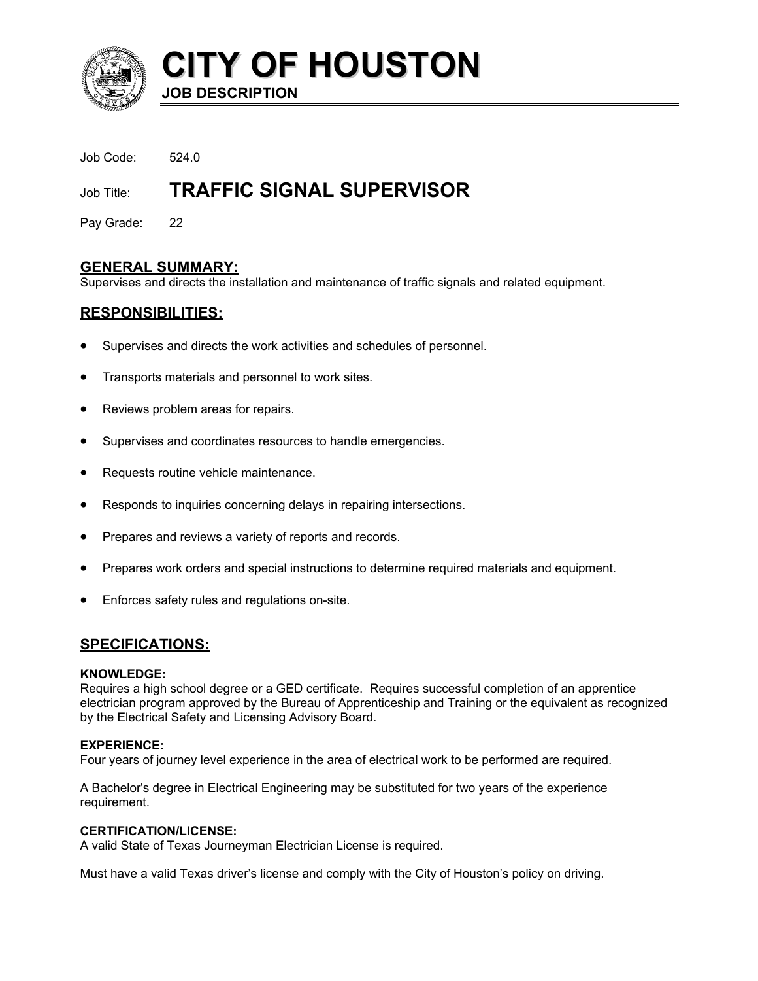

**CITY OF HOUSTON JOB DESCRIPTION** 

Job Code: 524.0

# Job Title: **TRAFFIC SIGNAL SUPERVISOR**

Pay Grade: 22

# **GENERAL SUMMARY:**

Supervises and directs the installation and maintenance of traffic signals and related equipment.

# **RESPONSIBILITIES:**

- Supervises and directs the work activities and schedules of personnel.
- Transports materials and personnel to work sites.
- Reviews problem areas for repairs.
- Supervises and coordinates resources to handle emergencies.
- Requests routine vehicle maintenance.
- Responds to inquiries concerning delays in repairing intersections.
- Prepares and reviews a variety of reports and records.
- Prepares work orders and special instructions to determine required materials and equipment.
- Enforces safety rules and regulations on-site.

## **SPECIFICATIONS:**

#### **KNOWLEDGE:**

Requires a high school degree or a GED certificate. Requires successful completion of an apprentice electrician program approved by the Bureau of Apprenticeship and Training or the equivalent as recognized by the Electrical Safety and Licensing Advisory Board.

## **EXPERIENCE:**

Four years of journey level experience in the area of electrical work to be performed are required.

A Bachelor's degree in Electrical Engineering may be substituted for two years of the experience requirement.

#### **CERTIFICATION/LICENSE:**

A valid State of Texas Journeyman Electrician License is required.

Must have a valid Texas driver's license and comply with the City of Houston's policy on driving.